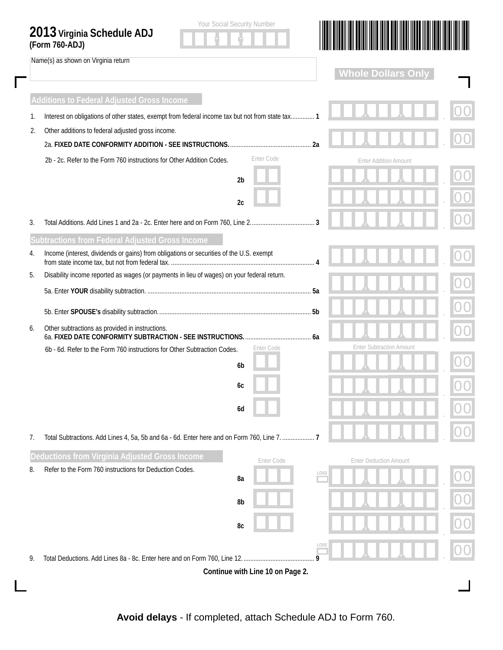|    | Name(s) as shown on Virginia return                                                                                                        |                |                               |                                 | <b>Whole Dollars Only</b> |                              |  |
|----|--------------------------------------------------------------------------------------------------------------------------------------------|----------------|-------------------------------|---------------------------------|---------------------------|------------------------------|--|
|    | <b>Additions to Federal Adjusted Gross Income</b>                                                                                          |                |                               |                                 |                           |                              |  |
| 1. | Interest on obligations of other states, exempt from federal income tax but not from state tax 1                                           |                |                               |                                 |                           |                              |  |
| 2. | Other additions to federal adjusted gross income.                                                                                          |                |                               |                                 |                           |                              |  |
|    |                                                                                                                                            |                |                               | 2a                              |                           |                              |  |
|    | 2b - 2c. Refer to the Form 760 instructions for Other Addition Codes.                                                                      |                | Enter Code                    |                                 |                           | <b>Enter Addition Amount</b> |  |
|    |                                                                                                                                            | 2 <sub>b</sub> |                               |                                 |                           |                              |  |
|    |                                                                                                                                            | 2c             |                               |                                 |                           |                              |  |
|    |                                                                                                                                            |                |                               |                                 |                           |                              |  |
| 3. |                                                                                                                                            |                |                               |                                 |                           |                              |  |
|    | Subtractions from Federal Adjusted Gross Income<br>Income (interest, dividends or gains) from obligations or securities of the U.S. exempt |                |                               |                                 |                           |                              |  |
| 4. |                                                                                                                                            |                |                               |                                 |                           |                              |  |
| 5. | Disability income reported as wages (or payments in lieu of wages) on your federal return.                                                 |                |                               |                                 |                           |                              |  |
|    |                                                                                                                                            |                |                               |                                 |                           |                              |  |
|    |                                                                                                                                            |                |                               |                                 |                           |                              |  |
| 6. | Other subtractions as provided in instructions.                                                                                            |                |                               | 6a                              |                           |                              |  |
|    | 6b - 6d. Refer to the Form 760 instructions for Other Subtraction Codes.                                                                   |                |                               | <b>Enter Subtraction Amount</b> |                           |                              |  |
|    |                                                                                                                                            | 6 <sub>b</sub> |                               |                                 |                           |                              |  |
|    |                                                                                                                                            | 6с             |                               |                                 |                           |                              |  |
|    |                                                                                                                                            |                |                               |                                 |                           |                              |  |
|    |                                                                                                                                            | 6d             |                               |                                 |                           |                              |  |
| 7. | Total Subtractions. Add Lines 4, 5a, 5b and 6a - 6d. Enter here and on Form 760, Line 7. 7                                                 |                |                               |                                 |                           |                              |  |
|    | Deductions from Virginia Adjusted Gross Income                                                                                             |                |                               |                                 |                           |                              |  |
| 8. | Refer to the Form 760 instructions for Deduction Codes.                                                                                    | LOSS           | <b>Enter Deduction Amount</b> |                                 |                           |                              |  |
|    |                                                                                                                                            | 8a             |                               |                                 |                           |                              |  |
|    |                                                                                                                                            | 8b             |                               |                                 |                           |                              |  |
|    |                                                                                                                                            |                |                               |                                 |                           |                              |  |
|    |                                                                                                                                            | 8c             |                               |                                 |                           |                              |  |
|    |                                                                                                                                            |                |                               |                                 |                           |                              |  |

**Avoid delays** - If completed, attach Schedule ADJ to Form 760.